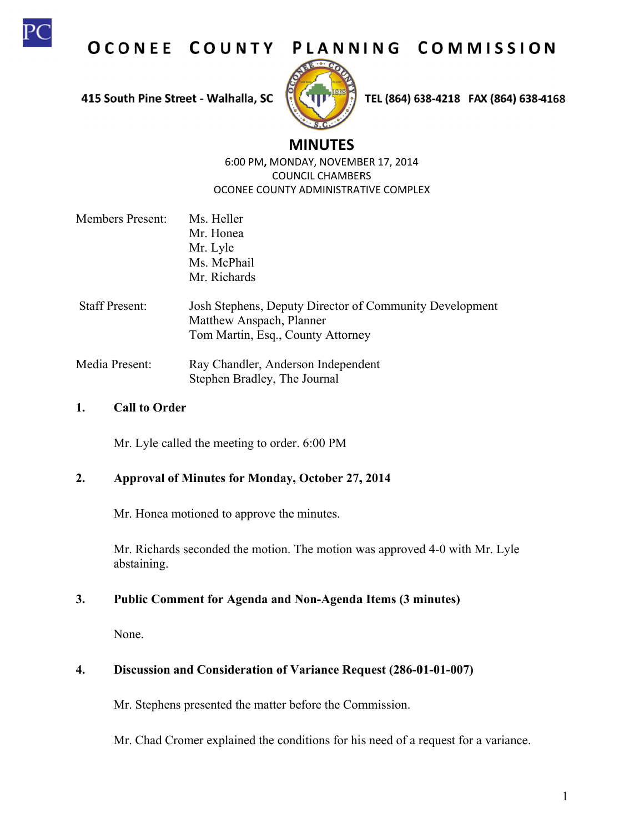

OCONEE COUNTY PLANNING COMMISSION

415 South Pine Street - Walhalla, SC



TEL (864) 638-4218 FAX (864) 638-4168

# **M MINUTES**

6:00 0 PM**,** MOND DAY, NOVEMB BER 17, 2014 OCONEE COUNTY ADMINISTRATIVE COMPLEX COUN CIL CHAMBER RS

- Members Present: Staff Present: Ms. Heller Mr. Honea Mr. Lyle Ms. McPhail Mr. Richards Josh Stephens, Deputy Director of Community Development
- Matthew Anspach, Planner Tom Martin, Esq., County Attorney
- Media Present: Ray Chandler, Anderson Independent Stephen B Bradley, The Journal

#### **1. C Call to Order**

Mr. Lyle called the meeting to order. 6:00 PM

#### $2.$ Approval of Minutes for Monday, October 27, 2014

Mr. Honea motioned to approve the minutes.

Mr. Richards seconded the motion. The motion was approved 4-0 with Mr. Lyle ab bstaining.

#### **3. P** Public Comment for Agenda and Non-Agenda Items (3 minutes)

N None.

## **4.** Discussion and Consideration of Variance Request (286-01-01-007)

Mr. Stephens presented the matter before the Commission.

Mr. Chad Cromer explained the conditions for his need of a request for a variance.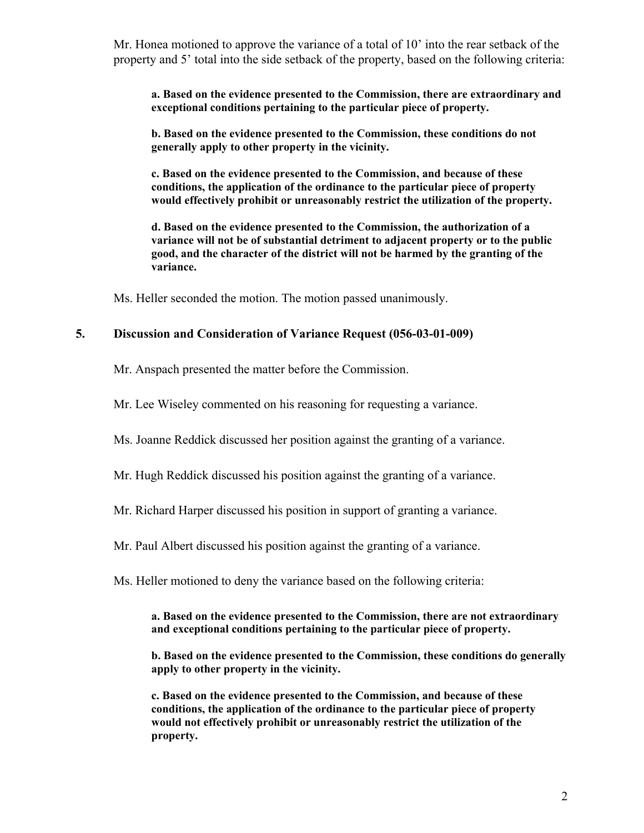Mr. Honea motioned to approve the variance of a total of 10' into the rear setback of the property and 5' total into the side setback of the property, based on the following criteria:

**a. Based on the evidence presented to the Commission, there are extraordinary and exceptional conditions pertaining to the particular piece of property.** 

**b. Based on the evidence presented to the Commission, these conditions do not generally apply to other property in the vicinity.** 

**c. Based on the evidence presented to the Commission, and because of these conditions, the application of the ordinance to the particular piece of property would effectively prohibit or unreasonably restrict the utilization of the property.** 

**d. Based on the evidence presented to the Commission, the authorization of a variance will not be of substantial detriment to adjacent property or to the public good, and the character of the district will not be harmed by the granting of the variance.** 

Ms. Heller seconded the motion. The motion passed unanimously.

#### **5. Discussion and Consideration of Variance Request (056-03-01-009)**

Mr. Anspach presented the matter before the Commission.

Mr. Lee Wiseley commented on his reasoning for requesting a variance.

Ms. Joanne Reddick discussed her position against the granting of a variance.

Mr. Hugh Reddick discussed his position against the granting of a variance.

Mr. Richard Harper discussed his position in support of granting a variance.

Mr. Paul Albert discussed his position against the granting of a variance.

Ms. Heller motioned to deny the variance based on the following criteria:

#### **a. Based on the evidence presented to the Commission, there are not extraordinary and exceptional conditions pertaining to the particular piece of property.**

**b. Based on the evidence presented to the Commission, these conditions do generally apply to other property in the vicinity.** 

**c. Based on the evidence presented to the Commission, and because of these conditions, the application of the ordinance to the particular piece of property would not effectively prohibit or unreasonably restrict the utilization of the property.**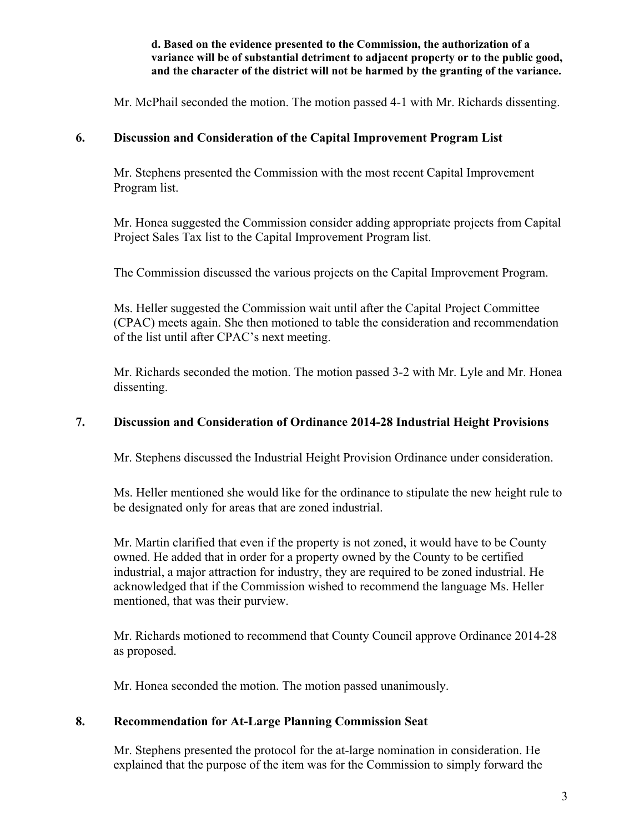**d. Based on the evidence presented to the Commission, the authorization of a variance will be of substantial detriment to adjacent property or to the public good, and the character of the district will not be harmed by the granting of the variance.** 

Mr. McPhail seconded the motion. The motion passed 4-1 with Mr. Richards dissenting.

### **6. Discussion and Consideration of the Capital Improvement Program List**

Mr. Stephens presented the Commission with the most recent Capital Improvement Program list.

Mr. Honea suggested the Commission consider adding appropriate projects from Capital Project Sales Tax list to the Capital Improvement Program list.

The Commission discussed the various projects on the Capital Improvement Program.

Ms. Heller suggested the Commission wait until after the Capital Project Committee (CPAC) meets again. She then motioned to table the consideration and recommendation of the list until after CPAC's next meeting.

Mr. Richards seconded the motion. The motion passed 3-2 with Mr. Lyle and Mr. Honea dissenting.

### **7. Discussion and Consideration of Ordinance 2014-28 Industrial Height Provisions**

Mr. Stephens discussed the Industrial Height Provision Ordinance under consideration.

Ms. Heller mentioned she would like for the ordinance to stipulate the new height rule to be designated only for areas that are zoned industrial.

Mr. Martin clarified that even if the property is not zoned, it would have to be County owned. He added that in order for a property owned by the County to be certified industrial, a major attraction for industry, they are required to be zoned industrial. He acknowledged that if the Commission wished to recommend the language Ms. Heller mentioned, that was their purview.

Mr. Richards motioned to recommend that County Council approve Ordinance 2014-28 as proposed.

Mr. Honea seconded the motion. The motion passed unanimously.

### **8. Recommendation for At-Large Planning Commission Seat**

Mr. Stephens presented the protocol for the at-large nomination in consideration. He explained that the purpose of the item was for the Commission to simply forward the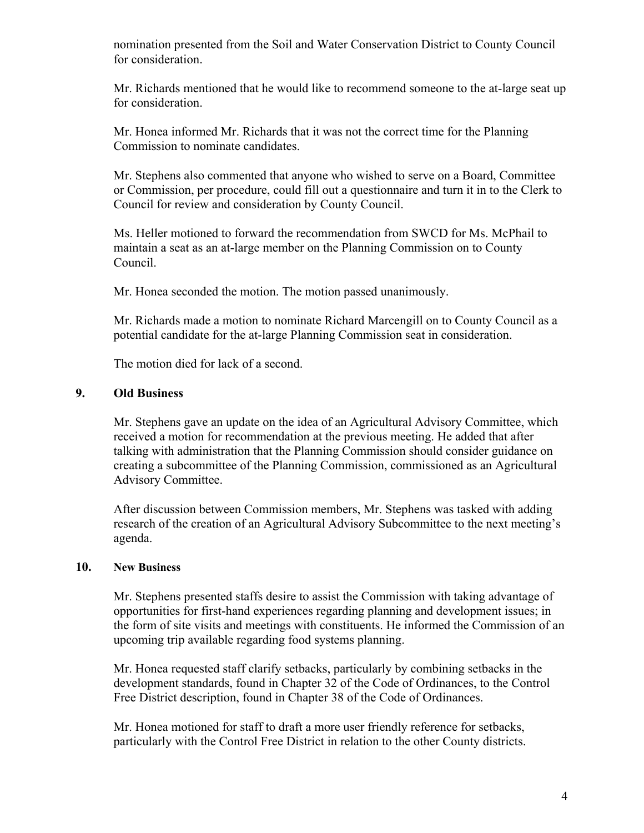nomination presented from the Soil and Water Conservation District to County Council for consideration.

Mr. Richards mentioned that he would like to recommend someone to the at-large seat up for consideration.

Mr. Honea informed Mr. Richards that it was not the correct time for the Planning Commission to nominate candidates.

Mr. Stephens also commented that anyone who wished to serve on a Board, Committee or Commission, per procedure, could fill out a questionnaire and turn it in to the Clerk to Council for review and consideration by County Council.

Ms. Heller motioned to forward the recommendation from SWCD for Ms. McPhail to maintain a seat as an at-large member on the Planning Commission on to County Council.

Mr. Honea seconded the motion. The motion passed unanimously.

Mr. Richards made a motion to nominate Richard Marcengill on to County Council as a potential candidate for the at-large Planning Commission seat in consideration.

The motion died for lack of a second.

### **9. Old Business**

Mr. Stephens gave an update on the idea of an Agricultural Advisory Committee, which received a motion for recommendation at the previous meeting. He added that after talking with administration that the Planning Commission should consider guidance on creating a subcommittee of the Planning Commission, commissioned as an Agricultural Advisory Committee.

After discussion between Commission members, Mr. Stephens was tasked with adding research of the creation of an Agricultural Advisory Subcommittee to the next meeting's agenda.

### **10. New Business**

Mr. Stephens presented staffs desire to assist the Commission with taking advantage of opportunities for first-hand experiences regarding planning and development issues; in the form of site visits and meetings with constituents. He informed the Commission of an upcoming trip available regarding food systems planning.

Mr. Honea requested staff clarify setbacks, particularly by combining setbacks in the development standards, found in Chapter 32 of the Code of Ordinances, to the Control Free District description, found in Chapter 38 of the Code of Ordinances.

Mr. Honea motioned for staff to draft a more user friendly reference for setbacks, particularly with the Control Free District in relation to the other County districts.